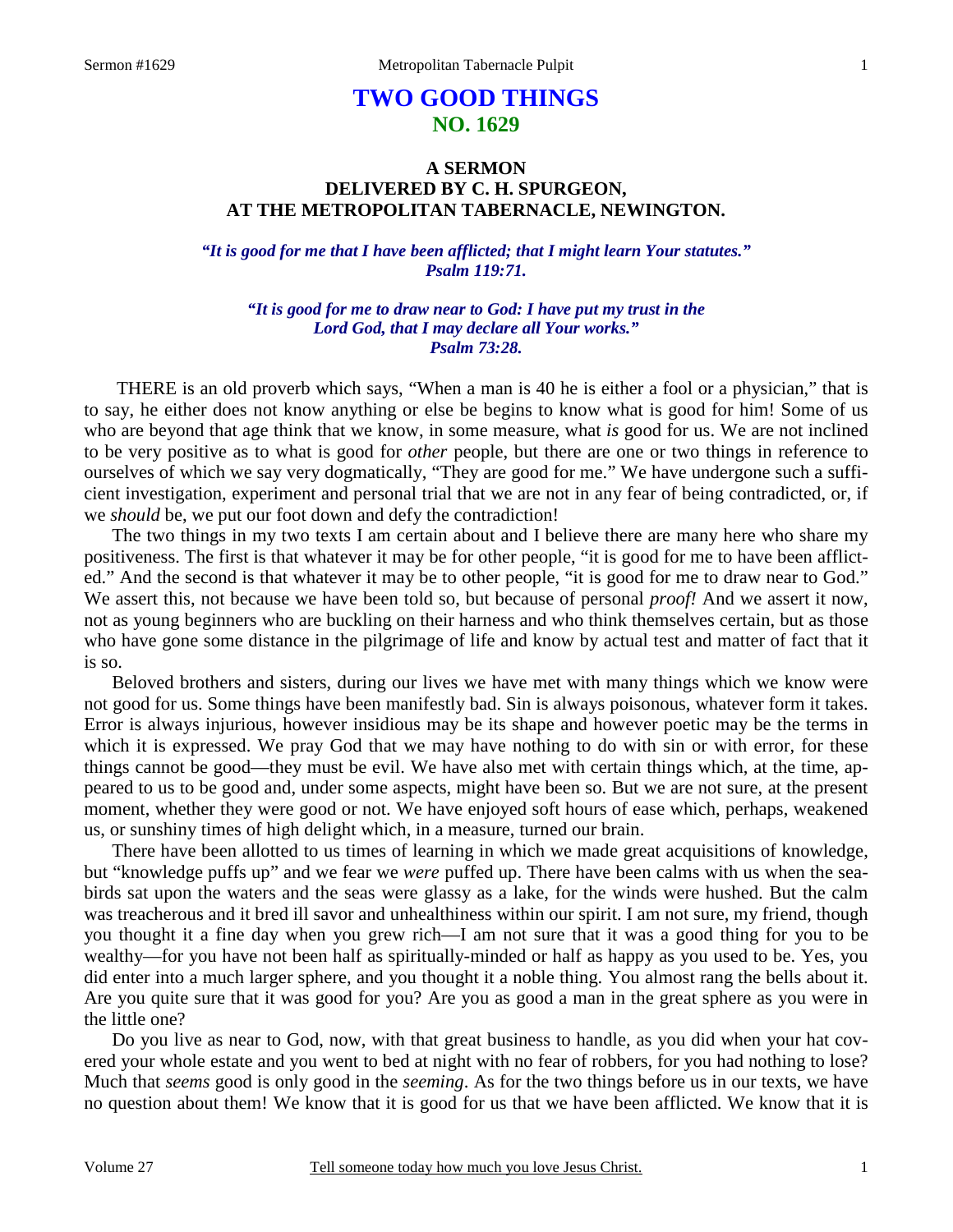## **TWO GOOD THINGS NO. 1629**

## **A SERMON DELIVERED BY C. H. SPURGEON, AT THE METROPOLITAN TABERNACLE, NEWINGTON.**

*"It is good for me that I have been afflicted; that I might learn Your statutes." Psalm 119:71.* 

*"It is good for me to draw near to God: I have put my trust in the Lord God, that I may declare all Your works." Psalm 73:28.* 

THERE is an old proverb which says, "When a man is 40 he is either a fool or a physician," that is to say, he either does not know anything or else be begins to know what is good for him! Some of us who are beyond that age think that we know, in some measure, what *is* good for us. We are not inclined to be very positive as to what is good for *other* people, but there are one or two things in reference to ourselves of which we say very dogmatically, "They are good for me." We have undergone such a sufficient investigation, experiment and personal trial that we are not in any fear of being contradicted, or, if we *should* be, we put our foot down and defy the contradiction!

 The two things in my two texts I am certain about and I believe there are many here who share my positiveness. The first is that whatever it may be for other people, "it is good for me to have been afflicted." And the second is that whatever it may be to other people, "it is good for me to draw near to God." We assert this, not because we have been told so, but because of personal *proof!* And we assert it now, not as young beginners who are buckling on their harness and who think themselves certain, but as those who have gone some distance in the pilgrimage of life and know by actual test and matter of fact that it is so.

 Beloved brothers and sisters, during our lives we have met with many things which we know were not good for us. Some things have been manifestly bad. Sin is always poisonous, whatever form it takes. Error is always injurious, however insidious may be its shape and however poetic may be the terms in which it is expressed. We pray God that we may have nothing to do with sin or with error, for these things cannot be good—they must be evil. We have also met with certain things which, at the time, appeared to us to be good and, under some aspects, might have been so. But we are not sure, at the present moment, whether they were good or not. We have enjoyed soft hours of ease which, perhaps, weakened us, or sunshiny times of high delight which, in a measure, turned our brain.

 There have been allotted to us times of learning in which we made great acquisitions of knowledge, but "knowledge puffs up" and we fear we *were* puffed up. There have been calms with us when the seabirds sat upon the waters and the seas were glassy as a lake, for the winds were hushed. But the calm was treacherous and it bred ill savor and unhealthiness within our spirit. I am not sure, my friend, though you thought it a fine day when you grew rich—I am not sure that it was a good thing for you to be wealthy—for you have not been half as spiritually-minded or half as happy as you used to be. Yes, you did enter into a much larger sphere, and you thought it a noble thing. You almost rang the bells about it. Are you quite sure that it was good for you? Are you as good a man in the great sphere as you were in the little one?

 Do you live as near to God, now, with that great business to handle, as you did when your hat covered your whole estate and you went to bed at night with no fear of robbers, for you had nothing to lose? Much that *seems* good is only good in the *seeming*. As for the two things before us in our texts, we have no question about them! We know that it is good for us that we have been afflicted. We know that it is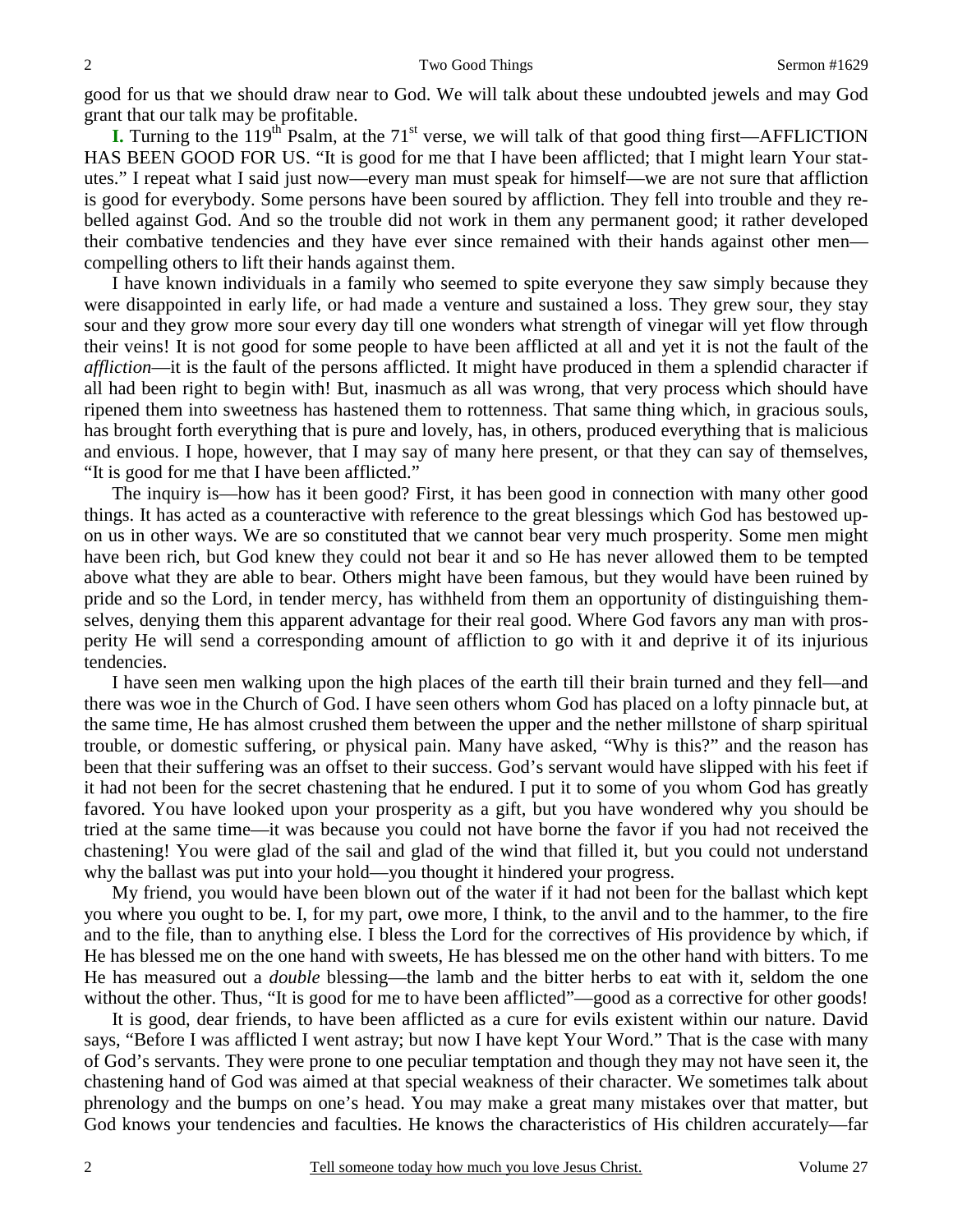good for us that we should draw near to God. We will talk about these undoubted jewels and may God grant that our talk may be profitable.

**I.** Turning to the 119<sup>th</sup> Psalm, at the 71<sup>st</sup> verse, we will talk of that good thing first—AFFLICTION HAS BEEN GOOD FOR US. "It is good for me that I have been afflicted; that I might learn Your statutes." I repeat what I said just now—every man must speak for himself—we are not sure that affliction is good for everybody. Some persons have been soured by affliction. They fell into trouble and they rebelled against God. And so the trouble did not work in them any permanent good; it rather developed their combative tendencies and they have ever since remained with their hands against other men compelling others to lift their hands against them.

 I have known individuals in a family who seemed to spite everyone they saw simply because they were disappointed in early life, or had made a venture and sustained a loss. They grew sour, they stay sour and they grow more sour every day till one wonders what strength of vinegar will yet flow through their veins! It is not good for some people to have been afflicted at all and yet it is not the fault of the *affliction*—it is the fault of the persons afflicted. It might have produced in them a splendid character if all had been right to begin with! But, inasmuch as all was wrong, that very process which should have ripened them into sweetness has hastened them to rottenness. That same thing which, in gracious souls, has brought forth everything that is pure and lovely, has, in others, produced everything that is malicious and envious. I hope, however, that I may say of many here present, or that they can say of themselves, "It is good for me that I have been afflicted."

 The inquiry is—how has it been good? First, it has been good in connection with many other good things. It has acted as a counteractive with reference to the great blessings which God has bestowed upon us in other ways. We are so constituted that we cannot bear very much prosperity. Some men might have been rich, but God knew they could not bear it and so He has never allowed them to be tempted above what they are able to bear. Others might have been famous, but they would have been ruined by pride and so the Lord, in tender mercy, has withheld from them an opportunity of distinguishing themselves, denying them this apparent advantage for their real good. Where God favors any man with prosperity He will send a corresponding amount of affliction to go with it and deprive it of its injurious tendencies.

 I have seen men walking upon the high places of the earth till their brain turned and they fell—and there was woe in the Church of God. I have seen others whom God has placed on a lofty pinnacle but, at the same time, He has almost crushed them between the upper and the nether millstone of sharp spiritual trouble, or domestic suffering, or physical pain. Many have asked, "Why is this?" and the reason has been that their suffering was an offset to their success. God's servant would have slipped with his feet if it had not been for the secret chastening that he endured. I put it to some of you whom God has greatly favored. You have looked upon your prosperity as a gift, but you have wondered why you should be tried at the same time—it was because you could not have borne the favor if you had not received the chastening! You were glad of the sail and glad of the wind that filled it, but you could not understand why the ballast was put into your hold—you thought it hindered your progress.

 My friend, you would have been blown out of the water if it had not been for the ballast which kept you where you ought to be. I, for my part, owe more, I think, to the anvil and to the hammer, to the fire and to the file, than to anything else. I bless the Lord for the correctives of His providence by which, if He has blessed me on the one hand with sweets, He has blessed me on the other hand with bitters. To me He has measured out a *double* blessing—the lamb and the bitter herbs to eat with it, seldom the one without the other. Thus, "It is good for me to have been afflicted"—good as a corrective for other goods!

 It is good, dear friends, to have been afflicted as a cure for evils existent within our nature. David says, "Before I was afflicted I went astray; but now I have kept Your Word." That is the case with many of God's servants. They were prone to one peculiar temptation and though they may not have seen it, the chastening hand of God was aimed at that special weakness of their character. We sometimes talk about phrenology and the bumps on one's head. You may make a great many mistakes over that matter, but God knows your tendencies and faculties. He knows the characteristics of His children accurately—far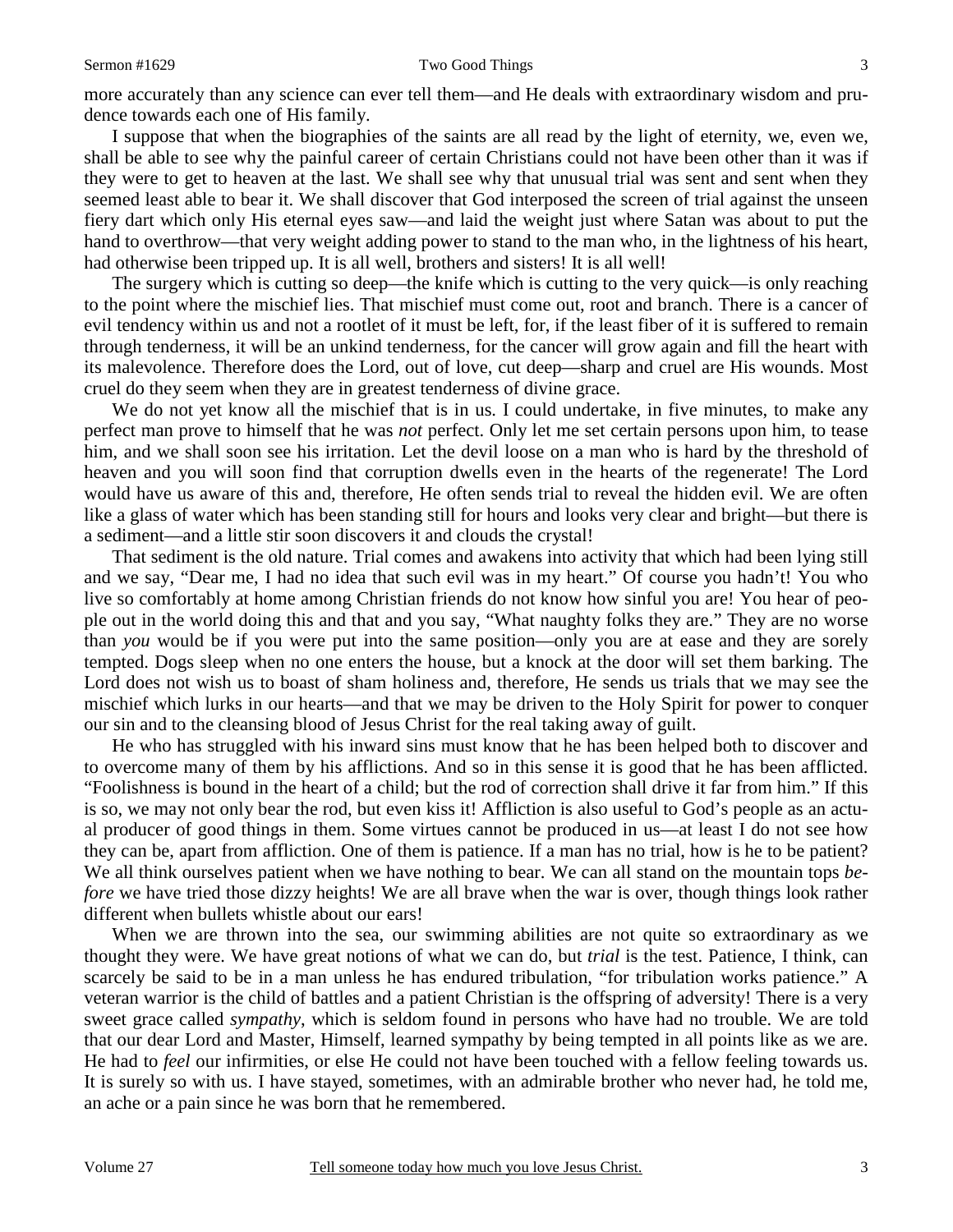more accurately than any science can ever tell them—and He deals with extraordinary wisdom and prudence towards each one of His family.

 I suppose that when the biographies of the saints are all read by the light of eternity, we, even we, shall be able to see why the painful career of certain Christians could not have been other than it was if they were to get to heaven at the last. We shall see why that unusual trial was sent and sent when they seemed least able to bear it. We shall discover that God interposed the screen of trial against the unseen fiery dart which only His eternal eyes saw—and laid the weight just where Satan was about to put the hand to overthrow—that very weight adding power to stand to the man who, in the lightness of his heart, had otherwise been tripped up. It is all well, brothers and sisters! It is all well!

 The surgery which is cutting so deep—the knife which is cutting to the very quick—is only reaching to the point where the mischief lies. That mischief must come out, root and branch. There is a cancer of evil tendency within us and not a rootlet of it must be left, for, if the least fiber of it is suffered to remain through tenderness, it will be an unkind tenderness, for the cancer will grow again and fill the heart with its malevolence. Therefore does the Lord, out of love, cut deep—sharp and cruel are His wounds. Most cruel do they seem when they are in greatest tenderness of divine grace.

We do not yet know all the mischief that is in us. I could undertake, in five minutes, to make any perfect man prove to himself that he was *not* perfect. Only let me set certain persons upon him, to tease him, and we shall soon see his irritation. Let the devil loose on a man who is hard by the threshold of heaven and you will soon find that corruption dwells even in the hearts of the regenerate! The Lord would have us aware of this and, therefore, He often sends trial to reveal the hidden evil. We are often like a glass of water which has been standing still for hours and looks very clear and bright—but there is a sediment—and a little stir soon discovers it and clouds the crystal!

 That sediment is the old nature. Trial comes and awakens into activity that which had been lying still and we say, "Dear me, I had no idea that such evil was in my heart." Of course you hadn't! You who live so comfortably at home among Christian friends do not know how sinful you are! You hear of people out in the world doing this and that and you say, "What naughty folks they are." They are no worse than *you* would be if you were put into the same position—only you are at ease and they are sorely tempted. Dogs sleep when no one enters the house, but a knock at the door will set them barking. The Lord does not wish us to boast of sham holiness and, therefore, He sends us trials that we may see the mischief which lurks in our hearts—and that we may be driven to the Holy Spirit for power to conquer our sin and to the cleansing blood of Jesus Christ for the real taking away of guilt.

 He who has struggled with his inward sins must know that he has been helped both to discover and to overcome many of them by his afflictions. And so in this sense it is good that he has been afflicted. "Foolishness is bound in the heart of a child; but the rod of correction shall drive it far from him." If this is so, we may not only bear the rod, but even kiss it! Affliction is also useful to God's people as an actual producer of good things in them. Some virtues cannot be produced in us—at least I do not see how they can be, apart from affliction. One of them is patience. If a man has no trial, how is he to be patient? We all think ourselves patient when we have nothing to bear. We can all stand on the mountain tops *before* we have tried those dizzy heights! We are all brave when the war is over, though things look rather different when bullets whistle about our ears!

 When we are thrown into the sea, our swimming abilities are not quite so extraordinary as we thought they were. We have great notions of what we can do, but *trial* is the test. Patience, I think, can scarcely be said to be in a man unless he has endured tribulation, "for tribulation works patience." A veteran warrior is the child of battles and a patient Christian is the offspring of adversity! There is a very sweet grace called *sympathy*, which is seldom found in persons who have had no trouble. We are told that our dear Lord and Master, Himself, learned sympathy by being tempted in all points like as we are. He had to *feel* our infirmities, or else He could not have been touched with a fellow feeling towards us. It is surely so with us. I have stayed, sometimes, with an admirable brother who never had, he told me, an ache or a pain since he was born that he remembered.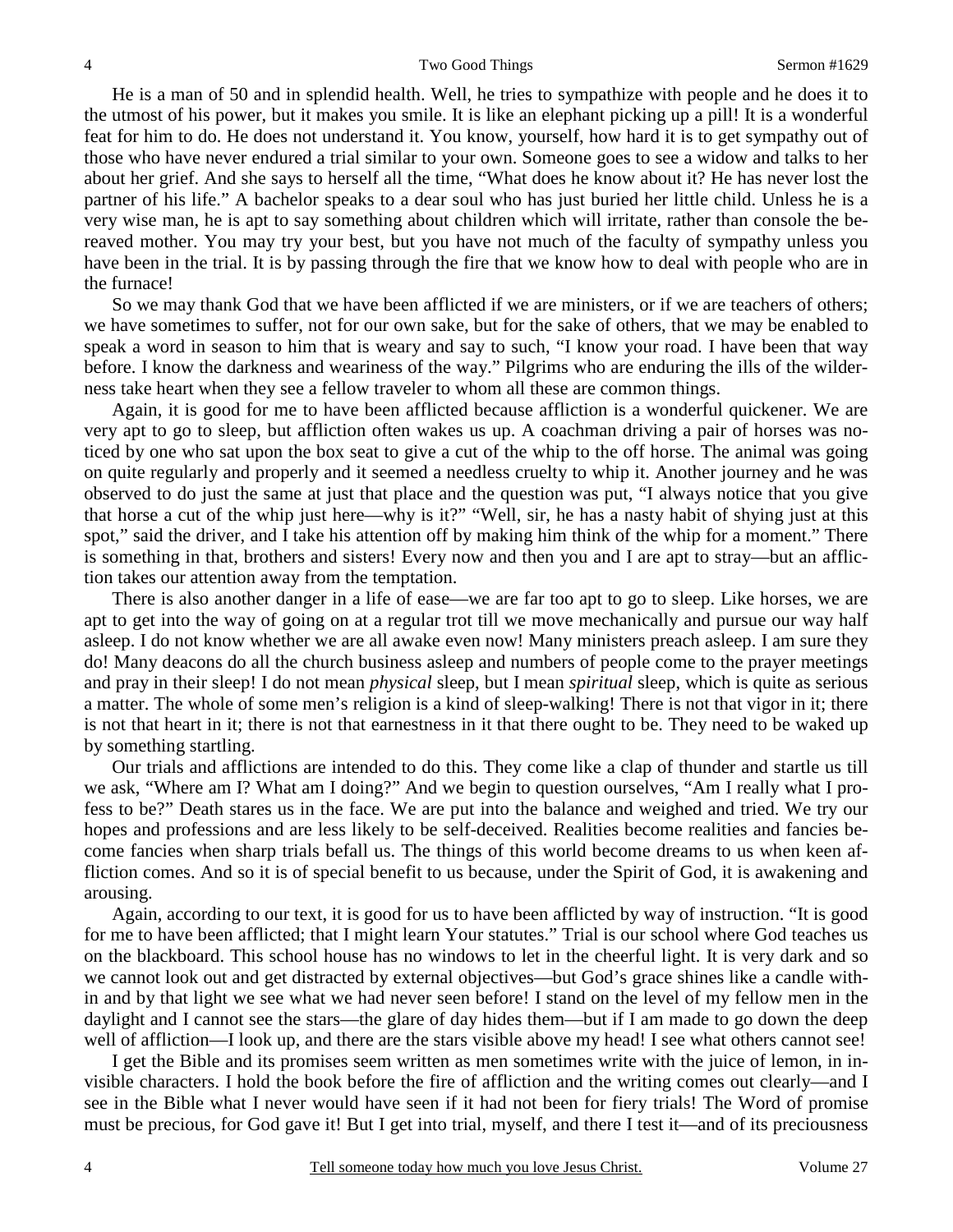He is a man of 50 and in splendid health. Well, he tries to sympathize with people and he does it to the utmost of his power, but it makes you smile. It is like an elephant picking up a pill! It is a wonderful feat for him to do. He does not understand it. You know, yourself, how hard it is to get sympathy out of those who have never endured a trial similar to your own. Someone goes to see a widow and talks to her about her grief. And she says to herself all the time, "What does he know about it? He has never lost the partner of his life." A bachelor speaks to a dear soul who has just buried her little child. Unless he is a very wise man, he is apt to say something about children which will irritate, rather than console the bereaved mother. You may try your best, but you have not much of the faculty of sympathy unless you have been in the trial. It is by passing through the fire that we know how to deal with people who are in the furnace!

 So we may thank God that we have been afflicted if we are ministers, or if we are teachers of others; we have sometimes to suffer, not for our own sake, but for the sake of others, that we may be enabled to speak a word in season to him that is weary and say to such, "I know your road. I have been that way before. I know the darkness and weariness of the way." Pilgrims who are enduring the ills of the wilderness take heart when they see a fellow traveler to whom all these are common things.

 Again, it is good for me to have been afflicted because affliction is a wonderful quickener. We are very apt to go to sleep, but affliction often wakes us up. A coachman driving a pair of horses was noticed by one who sat upon the box seat to give a cut of the whip to the off horse. The animal was going on quite regularly and properly and it seemed a needless cruelty to whip it. Another journey and he was observed to do just the same at just that place and the question was put, "I always notice that you give that horse a cut of the whip just here—why is it?" "Well, sir, he has a nasty habit of shying just at this spot," said the driver, and I take his attention off by making him think of the whip for a moment." There is something in that, brothers and sisters! Every now and then you and I are apt to stray—but an affliction takes our attention away from the temptation.

 There is also another danger in a life of ease—we are far too apt to go to sleep. Like horses, we are apt to get into the way of going on at a regular trot till we move mechanically and pursue our way half asleep. I do not know whether we are all awake even now! Many ministers preach asleep. I am sure they do! Many deacons do all the church business asleep and numbers of people come to the prayer meetings and pray in their sleep! I do not mean *physical* sleep, but I mean *spiritual* sleep, which is quite as serious a matter. The whole of some men's religion is a kind of sleep-walking! There is not that vigor in it; there is not that heart in it; there is not that earnestness in it that there ought to be. They need to be waked up by something startling.

 Our trials and afflictions are intended to do this. They come like a clap of thunder and startle us till we ask, "Where am I? What am I doing?" And we begin to question ourselves, "Am I really what I profess to be?" Death stares us in the face. We are put into the balance and weighed and tried. We try our hopes and professions and are less likely to be self-deceived. Realities become realities and fancies become fancies when sharp trials befall us. The things of this world become dreams to us when keen affliction comes. And so it is of special benefit to us because, under the Spirit of God, it is awakening and arousing.

 Again, according to our text, it is good for us to have been afflicted by way of instruction. "It is good for me to have been afflicted; that I might learn Your statutes." Trial is our school where God teaches us on the blackboard. This school house has no windows to let in the cheerful light. It is very dark and so we cannot look out and get distracted by external objectives—but God's grace shines like a candle within and by that light we see what we had never seen before! I stand on the level of my fellow men in the daylight and I cannot see the stars—the glare of day hides them—but if I am made to go down the deep well of affliction—I look up, and there are the stars visible above my head! I see what others cannot see!

 I get the Bible and its promises seem written as men sometimes write with the juice of lemon, in invisible characters. I hold the book before the fire of affliction and the writing comes out clearly—and I see in the Bible what I never would have seen if it had not been for fiery trials! The Word of promise must be precious, for God gave it! But I get into trial, myself, and there I test it—and of its preciousness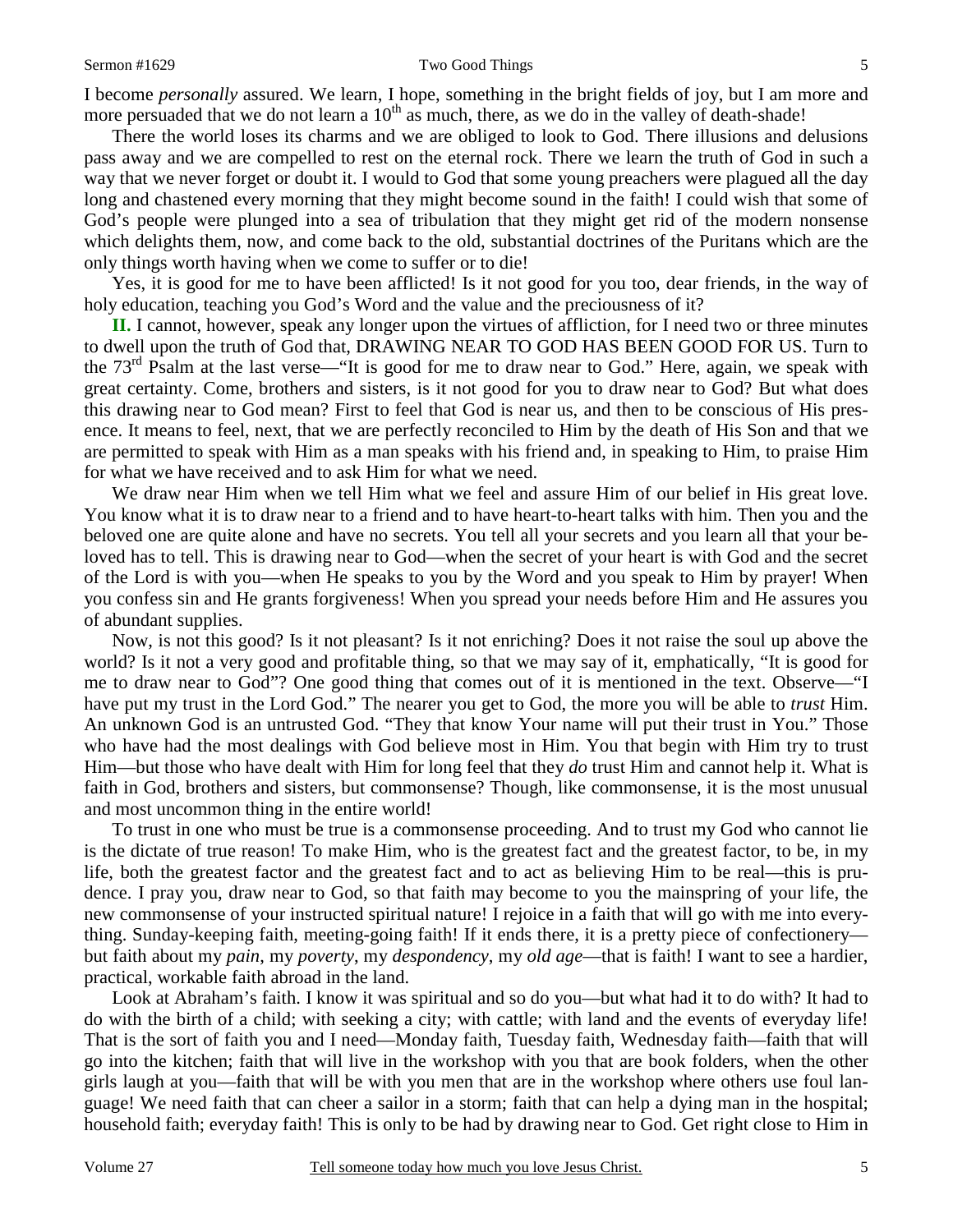I become *personally* assured. We learn, I hope, something in the bright fields of joy, but I am more and more persuaded that we do not learn a  $10<sup>th</sup>$  as much, there, as we do in the valley of death-shade!

 There the world loses its charms and we are obliged to look to God. There illusions and delusions pass away and we are compelled to rest on the eternal rock. There we learn the truth of God in such a way that we never forget or doubt it. I would to God that some young preachers were plagued all the day long and chastened every morning that they might become sound in the faith! I could wish that some of God's people were plunged into a sea of tribulation that they might get rid of the modern nonsense which delights them, now, and come back to the old, substantial doctrines of the Puritans which are the only things worth having when we come to suffer or to die!

 Yes, it is good for me to have been afflicted! Is it not good for you too, dear friends, in the way of holy education, teaching you God's Word and the value and the preciousness of it?

**II.** I cannot, however, speak any longer upon the virtues of affliction, for I need two or three minutes to dwell upon the truth of God that, DRAWING NEAR TO GOD HAS BEEN GOOD FOR US. Turn to the 73rd Psalm at the last verse—"It is good for me to draw near to God." Here, again, we speak with great certainty. Come, brothers and sisters, is it not good for you to draw near to God? But what does this drawing near to God mean? First to feel that God is near us, and then to be conscious of His presence. It means to feel, next, that we are perfectly reconciled to Him by the death of His Son and that we are permitted to speak with Him as a man speaks with his friend and, in speaking to Him, to praise Him for what we have received and to ask Him for what we need.

 We draw near Him when we tell Him what we feel and assure Him of our belief in His great love. You know what it is to draw near to a friend and to have heart-to-heart talks with him. Then you and the beloved one are quite alone and have no secrets. You tell all your secrets and you learn all that your beloved has to tell. This is drawing near to God—when the secret of your heart is with God and the secret of the Lord is with you—when He speaks to you by the Word and you speak to Him by prayer! When you confess sin and He grants forgiveness! When you spread your needs before Him and He assures you of abundant supplies.

 Now, is not this good? Is it not pleasant? Is it not enriching? Does it not raise the soul up above the world? Is it not a very good and profitable thing, so that we may say of it, emphatically, "It is good for me to draw near to God"? One good thing that comes out of it is mentioned in the text. Observe—"I have put my trust in the Lord God." The nearer you get to God, the more you will be able to *trust* Him. An unknown God is an untrusted God. "They that know Your name will put their trust in You." Those who have had the most dealings with God believe most in Him. You that begin with Him try to trust Him—but those who have dealt with Him for long feel that they *do* trust Him and cannot help it. What is faith in God, brothers and sisters, but commonsense? Though, like commonsense, it is the most unusual and most uncommon thing in the entire world!

 To trust in one who must be true is a commonsense proceeding. And to trust my God who cannot lie is the dictate of true reason! To make Him, who is the greatest fact and the greatest factor, to be, in my life, both the greatest factor and the greatest fact and to act as believing Him to be real—this is prudence. I pray you, draw near to God, so that faith may become to you the mainspring of your life, the new commonsense of your instructed spiritual nature! I rejoice in a faith that will go with me into everything. Sunday-keeping faith, meeting-going faith! If it ends there, it is a pretty piece of confectionery but faith about my *pain*, my *poverty*, my *despondency*, my *old age*—that is faith! I want to see a hardier, practical, workable faith abroad in the land.

 Look at Abraham's faith. I know it was spiritual and so do you—but what had it to do with? It had to do with the birth of a child; with seeking a city; with cattle; with land and the events of everyday life! That is the sort of faith you and I need—Monday faith, Tuesday faith, Wednesday faith—faith that will go into the kitchen; faith that will live in the workshop with you that are book folders, when the other girls laugh at you—faith that will be with you men that are in the workshop where others use foul language! We need faith that can cheer a sailor in a storm; faith that can help a dying man in the hospital; household faith; everyday faith! This is only to be had by drawing near to God. Get right close to Him in